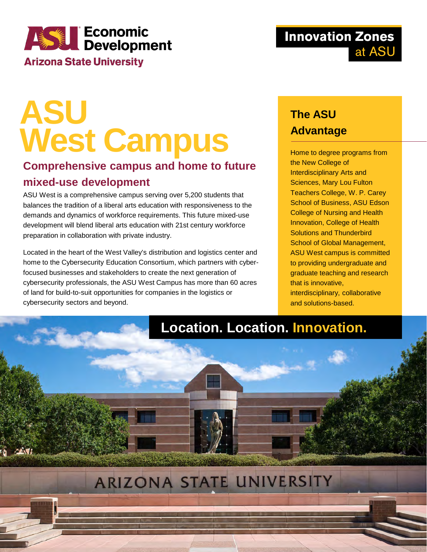# **ASSERIE CONOMIC<br>
Development Arizona State University**

# **ASU West Campus**

### **Comprehensive campus and home to future mixed-use development**

ASU West is a comprehensive campus serving over 5,200 students that balances the tradition of a liberal arts education with responsiveness to the demands and dynamics of workforce requirements. This future mixed-use development will blend liberal arts education with 21st century workforce preparation in collaboration with private industry.

Located in the heart of the West Valley's distribution and logistics center and home to the Cybersecurity Education Consortium, which partners with cyberfocused businesses and stakeholders to create the next generation of cybersecurity professionals, the ASU West Campus has more than 60 acres of land for build-to-suit opportunities for companies in the logistics or cybersecurity sectors and beyond.

### **The ASU Advantage**

Home to degree programs from the New College of Interdisciplinary Arts and Sciences, Mary Lou Fulton Teachers College, W. P. Carey School of Business, ASU Edson College of Nursing and Health Innovation, College of Health Solutions and Thunderbird School of Global Management, ASU West campus is committed to providing undergraduate and graduate teaching and research that is innovative, interdisciplinary, collaborative and solutions-based.

## **Location. Location. Innovation.**

# ARIZONA STATE UNIVERSITY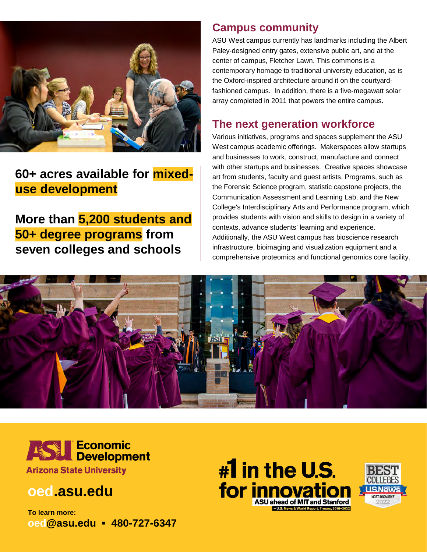

### **60+ acres available for mixeduse development**

**More than 5,200 students and 50+ degree programs from seven colleges and schools**

#### **Campus community**

ASU West campus currently has landmarks including the Albert Paley-designed entry gates, extensive public art, and at the center of campus, Fletcher Lawn. This commons is a contemporary homage to traditional university education, as is the Oxford-inspired architecture around it on the courtyardfashioned campus. In addition, there is a five-megawatt solar array completed in 2011 that powers the entire campus.

### **The next generation workforce**

Various initiatives, programs and spaces supplement the ASU West campus academic offerings. Makerspaces allow startups and businesses to work, construct, manufacture and connect with other startups and businesses. Creative spaces showcase art from students, faculty and guest artists. Programs, such as the Forensic Science program, statistic capstone projects, the Communication Assessment and Learning Lab, and the New College's Interdisciplinary Arts and Performance program, which provides students with vision and skills to design in a variety of contexts, advance students' learning and experience. Additionally, the ASU West campus has bioscience research infrastructure, bioimaging and visualization equipment and a comprehensive proteomics and functional genomics core facility.





### **oed.asu.edu**

**To learn more: oed@asu.edu ▪ 480-727-6347**